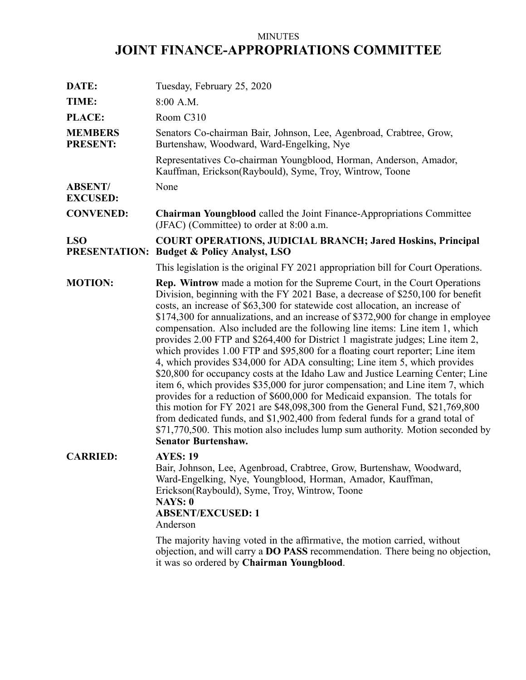# MINUTES **JOINT FINANCE-APPROPRIATIONS COMMITTEE**

| DATE:                              | Tuesday, February 25, 2020                                                                                                                                                                                                                                                                                                                                                                                                                                                                                                                                                                                                                                                                                                                                                                                                                                                                                                                                                                                                                                                                                                                                                                                     |
|------------------------------------|----------------------------------------------------------------------------------------------------------------------------------------------------------------------------------------------------------------------------------------------------------------------------------------------------------------------------------------------------------------------------------------------------------------------------------------------------------------------------------------------------------------------------------------------------------------------------------------------------------------------------------------------------------------------------------------------------------------------------------------------------------------------------------------------------------------------------------------------------------------------------------------------------------------------------------------------------------------------------------------------------------------------------------------------------------------------------------------------------------------------------------------------------------------------------------------------------------------|
| TIME:                              | 8:00 A.M.                                                                                                                                                                                                                                                                                                                                                                                                                                                                                                                                                                                                                                                                                                                                                                                                                                                                                                                                                                                                                                                                                                                                                                                                      |
| <b>PLACE:</b>                      | Room C310                                                                                                                                                                                                                                                                                                                                                                                                                                                                                                                                                                                                                                                                                                                                                                                                                                                                                                                                                                                                                                                                                                                                                                                                      |
| <b>MEMBERS</b><br><b>PRESENT:</b>  | Senators Co-chairman Bair, Johnson, Lee, Agenbroad, Crabtree, Grow,<br>Burtenshaw, Woodward, Ward-Engelking, Nye                                                                                                                                                                                                                                                                                                                                                                                                                                                                                                                                                                                                                                                                                                                                                                                                                                                                                                                                                                                                                                                                                               |
|                                    | Representatives Co-chairman Youngblood, Horman, Anderson, Amador,<br>Kauffman, Erickson(Raybould), Syme, Troy, Wintrow, Toone                                                                                                                                                                                                                                                                                                                                                                                                                                                                                                                                                                                                                                                                                                                                                                                                                                                                                                                                                                                                                                                                                  |
| <b>ABSENT/</b><br><b>EXCUSED:</b>  | None                                                                                                                                                                                                                                                                                                                                                                                                                                                                                                                                                                                                                                                                                                                                                                                                                                                                                                                                                                                                                                                                                                                                                                                                           |
| <b>CONVENED:</b>                   | <b>Chairman Youngblood</b> called the Joint Finance-Appropriations Committee<br>(JFAC) (Committee) to order at 8:00 a.m.                                                                                                                                                                                                                                                                                                                                                                                                                                                                                                                                                                                                                                                                                                                                                                                                                                                                                                                                                                                                                                                                                       |
| <b>LSO</b><br><b>PRESENTATION:</b> | <b>COURT OPERATIONS, JUDICIAL BRANCH; Jared Hoskins, Principal</b><br><b>Budget &amp; Policy Analyst, LSO</b>                                                                                                                                                                                                                                                                                                                                                                                                                                                                                                                                                                                                                                                                                                                                                                                                                                                                                                                                                                                                                                                                                                  |
|                                    | This legislation is the original FY 2021 appropriation bill for Court Operations.                                                                                                                                                                                                                                                                                                                                                                                                                                                                                                                                                                                                                                                                                                                                                                                                                                                                                                                                                                                                                                                                                                                              |
| <b>MOTION:</b>                     | <b>Rep. Wintrow</b> made a motion for the Supreme Court, in the Court Operations<br>Division, beginning with the FY 2021 Base, a decrease of \$250,100 for benefit<br>costs, an increase of \$63,300 for statewide cost allocation, an increase of<br>\$174,300 for annualizations, and an increase of \$372,900 for change in employee<br>compensation. Also included are the following line items: Line item 1, which<br>provides 2.00 FTP and \$264,400 for District 1 magistrate judges; Line item 2,<br>which provides 1.00 FTP and \$95,800 for a floating court reporter; Line item<br>4, which provides \$34,000 for ADA consulting; Line item 5, which provides<br>\$20,800 for occupancy costs at the Idaho Law and Justice Learning Center; Line<br>item 6, which provides \$35,000 for juror compensation; and Line item 7, which<br>provides for a reduction of \$600,000 for Medicaid expansion. The totals for<br>this motion for FY 2021 are \$48,098,300 from the General Fund, \$21,769,800<br>from dedicated funds, and \$1,902,400 from federal funds for a grand total of<br>\$71,770,500. This motion also includes lump sum authority. Motion seconded by<br><b>Senator Burtenshaw.</b> |
| <b>CARRIED:</b>                    | <b>AYES: 19</b><br>Bair, Johnson, Lee, Agenbroad, Crabtree, Grow, Burtenshaw, Woodward,<br>Ward-Engelking, Nye, Youngblood, Horman, Amador, Kauffman,<br>Erickson(Raybould), Syme, Troy, Wintrow, Toone<br><b>NAYS: 0</b><br><b>ABSENT/EXCUSED: 1</b><br>Anderson<br>The majority having voted in the affirmative, the motion carried, without<br>objection, and will carry a <b>DO PASS</b> recommendation. There being no objection,<br>it was so ordered by Chairman Youngblood.                                                                                                                                                                                                                                                                                                                                                                                                                                                                                                                                                                                                                                                                                                                            |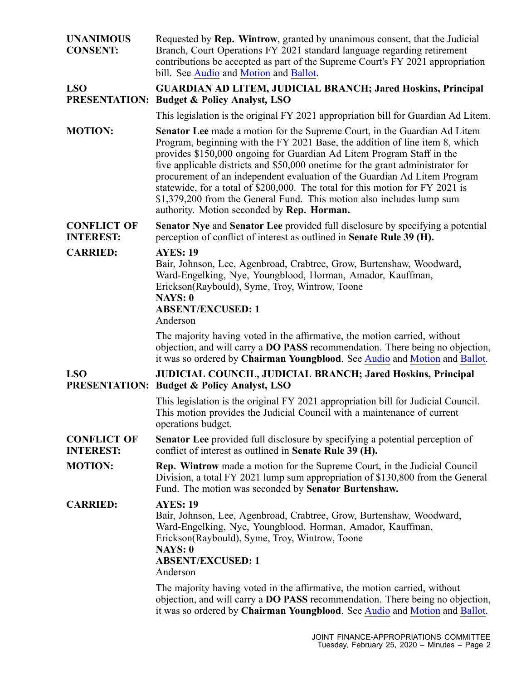| <b>UNANIMOUS</b><br><b>CONSENT:</b>    | Requested by Rep. Wintrow, granted by unanimous consent, that the Judicial<br>Branch, Court Operations FY 2021 standard language regarding retirement<br>contributions be accepted as part of the Supreme Court's FY 2021 appropriation<br>bill. See Audio and Motion and Ballot.                                                                                                                                                                                                                                                                                                                         |
|----------------------------------------|-----------------------------------------------------------------------------------------------------------------------------------------------------------------------------------------------------------------------------------------------------------------------------------------------------------------------------------------------------------------------------------------------------------------------------------------------------------------------------------------------------------------------------------------------------------------------------------------------------------|
| <b>LSO</b>                             | <b>GUARDIAN AD LITEM, JUDICIAL BRANCH; Jared Hoskins, Principal</b><br><b>PRESENTATION: Budget &amp; Policy Analyst, LSO</b>                                                                                                                                                                                                                                                                                                                                                                                                                                                                              |
|                                        | This legislation is the original FY 2021 appropriation bill for Guardian Ad Litem.                                                                                                                                                                                                                                                                                                                                                                                                                                                                                                                        |
| <b>MOTION:</b>                         | Senator Lee made a motion for the Supreme Court, in the Guardian Ad Litem<br>Program, beginning with the FY 2021 Base, the addition of line item 8, which<br>provides \$150,000 ongoing for Guardian Ad Litem Program Staff in the<br>five applicable districts and \$50,000 onetime for the grant administrator for<br>procurement of an independent evaluation of the Guardian Ad Litem Program<br>statewide, for a total of \$200,000. The total for this motion for FY 2021 is<br>\$1,379,200 from the General Fund. This motion also includes lump sum<br>authority. Motion seconded by Rep. Horman. |
| <b>CONFLICT OF</b><br><b>INTEREST:</b> | <b>Senator Nye and Senator Lee provided full disclosure by specifying a potential</b><br>perception of conflict of interest as outlined in Senate Rule 39 (H).                                                                                                                                                                                                                                                                                                                                                                                                                                            |
| <b>CARRIED:</b>                        | <b>AYES: 19</b><br>Bair, Johnson, Lee, Agenbroad, Crabtree, Grow, Burtenshaw, Woodward,<br>Ward-Engelking, Nye, Youngblood, Horman, Amador, Kauffman,<br>Erickson(Raybould), Syme, Troy, Wintrow, Toone<br><b>NAYS: 0</b><br><b>ABSENT/EXCUSED: 1</b>                                                                                                                                                                                                                                                                                                                                                     |
|                                        | Anderson                                                                                                                                                                                                                                                                                                                                                                                                                                                                                                                                                                                                  |
|                                        | The majority having voted in the affirmative, the motion carried, without<br>objection, and will carry a <b>DO PASS</b> recommendation. There being no objection,<br>it was so ordered by Chairman Youngblood. See Audio and Motion and Ballot.                                                                                                                                                                                                                                                                                                                                                           |
| <b>LSO</b>                             | <b>JUDICIAL COUNCIL, JUDICIAL BRANCH; Jared Hoskins, Principal</b><br><b>PRESENTATION: Budget &amp; Policy Analyst, LSO</b>                                                                                                                                                                                                                                                                                                                                                                                                                                                                               |
|                                        | This legislation is the original FY 2021 appropriation bill for Judicial Council.<br>This motion provides the Judicial Council with a maintenance of current<br>operations budget.                                                                                                                                                                                                                                                                                                                                                                                                                        |
| <b>CONFLICT OF</b><br><b>INTEREST:</b> | <b>Senator Lee</b> provided full disclosure by specifying a potential perception of<br>conflict of interest as outlined in Senate Rule 39 (H).                                                                                                                                                                                                                                                                                                                                                                                                                                                            |
| <b>MOTION:</b>                         | <b>Rep. Wintrow</b> made a motion for the Supreme Court, in the Judicial Council<br>Division, a total FY 2021 lump sum appropriation of \$130,800 from the General<br>Fund. The motion was seconded by Senator Burtenshaw.                                                                                                                                                                                                                                                                                                                                                                                |
| <b>CARRIED:</b>                        | <b>AYES: 19</b><br>Bair, Johnson, Lee, Agenbroad, Crabtree, Grow, Burtenshaw, Woodward,<br>Ward-Engelking, Nye, Youngblood, Horman, Amador, Kauffman,<br>Erickson(Raybould), Syme, Troy, Wintrow, Toone<br><b>NAYS: 0</b><br><b>ABSENT/EXCUSED: 1</b><br>Anderson                                                                                                                                                                                                                                                                                                                                         |
|                                        | The majority having voted in the affirmative, the motion carried, without<br>objection, and will carry a <b>DO PASS</b> recommendation. There being no objection,<br>it was so ordered by Chairman Youngblood. See Audio and Motion and Ballot.                                                                                                                                                                                                                                                                                                                                                           |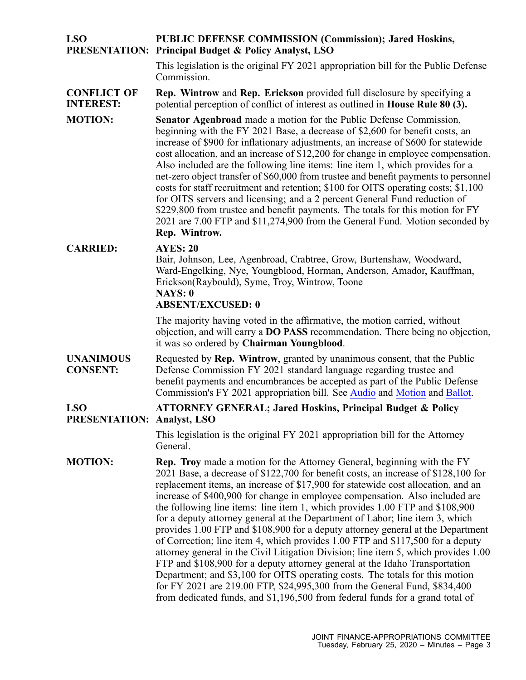### **LSO PRESENTATION: Principal Budget & Policy Analyst, LSO PUBLIC DEFENSE COMMISSION (Commission); Jared Hoskins,**

This legislation is the original FY 2021 appropriation bill for the Public Defense Commission.

#### **CONFLICT OF INTEREST: Rep. Wintrow** and **Rep. Erickson** provided full disclosure by specifying <sup>a</sup> potential perception of conflict of interest as outlined in **House Rule 80 (3).**

**MOTION: Senator Agenbroad** made <sup>a</sup> motion for the Public Defense Commission, beginning with the FY 2021 Base, <sup>a</sup> decrease of \$2,600 for benefit costs, an increase of \$900 for inflationary adjustments, an increase of \$600 for statewide cost allocation, and an increase of \$12,200 for change in employee compensation. Also included are the following line items: line item 1, which provides for <sup>a</sup> net-zero object transfer of \$60,000 from trustee and benefit payments to personnel costs for staff recruitment and retention; \$100 for OITS operating costs; \$1,100 for OITS servers and licensing; and <sup>a</sup> 2 percen<sup>t</sup> General Fund reduction of \$229,800 from trustee and benefit payments. The totals for this motion for FY 2021 are 7.00 FTP and \$11,274,900 from the General Fund. Motion seconded by **Rep. Wintrow.**

## **CARRIED: AYES: 20**

Bair, Johnson, Lee, Agenbroad, Crabtree, Grow, Burtenshaw, Woodward, Ward-Engelking, Nye, Youngblood, Horman, Anderson, Amador, Kauffman, Erickson(Raybould), Syme, Troy, Wintrow, Toone **NAYS: 0 ABSENT/EXCUSED: 0**

### The majority having voted in the affirmative, the motion carried, without objection, and will carry <sup>a</sup> **DO PASS** recommendation. There being no objection, it was so ordered by **Chairman Youngblood**.

**UNANIMOUS CONSENT:** Requested by **Rep. Wintrow**, granted by unanimous consent, that the Public Defense Commission FY 2021 standard language regarding trustee and benefit payments and encumbrances be accepted as par<sup>t</sup> of the Public Defense Commission's FY 2021 appropriation bill. See [Audio](https://legislature.idaho.gov/wp-content/uploads/budget/JFAC/sessionrecord/2020/6.Economic Development/Self-Governing Agencies/Public Defense Commission/~Budget Setting/February 25, 2020/A.Audio.mp3?1582748797) and [Motion](https://legislature.idaho.gov/wp-content/uploads/budget/JFAC/sessionrecord/2020/6.Economic Development/Self-Governing Agencies/Public Defense Commission/~Budget Setting/February 25, 2020/A.Motion.pdf?1582748797) and [Ballot](https://legislature.idaho.gov/wp-content/uploads/budget/JFAC/sessionrecord/2020/6.Economic Development/Self-Governing Agencies/Public Defense Commission/~Budget Setting/February 25, 2020/A.Ballot.pdf?1582748797).

#### **LSO PRESENTATION: Analyst, LSO ATTORNEY GENERAL; Jared Hoskins, Principal Budget & Policy**

This legislation is the original FY 2021 appropriation bill for the Attorney General.

**MOTION: Rep. Troy** made <sup>a</sup> motion for the Attorney General, beginning with the FY 2021 Base, <sup>a</sup> decrease of \$122,700 for benefit costs, an increase of \$128,100 for replacement items, an increase of \$17,900 for statewide cost allocation, and an increase of \$400,900 for change in employee compensation. Also included are the following line items: line item 1, which provides 1.00 FTP and \$108,900 for <sup>a</sup> deputy attorney general at the Department of Labor; line item 3, which provides 1.00 FTP and \$108,900 for <sup>a</sup> deputy attorney general at the Department of Correction; line item 4, which provides 1.00 FTP and \$117,500 for <sup>a</sup> deputy attorney general in the Civil Litigation Division; line item 5, which provides 1.00 FTP and \$108,900 for <sup>a</sup> deputy attorney general at the Idaho Transportation Department; and \$3,100 for OITS operating costs. The totals for this motion for FY 2021 are 219.00 FTP, \$24,995,300 from the General Fund, \$834,400 from dedicated funds, and \$1,196,500 from federal funds for <sup>a</sup> grand total of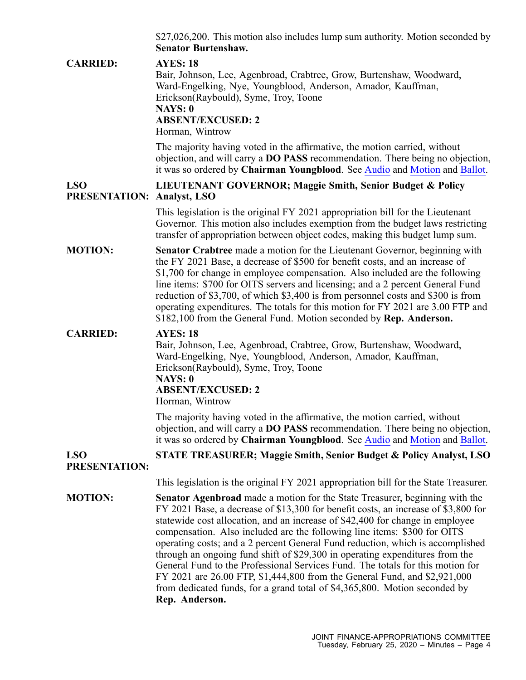|                                                 | \$27,026,200. This motion also includes lump sum authority. Motion seconded by<br><b>Senator Burtenshaw.</b>                                                                                                                                                                                                                                                                                                                                                                                                                                                             |
|-------------------------------------------------|--------------------------------------------------------------------------------------------------------------------------------------------------------------------------------------------------------------------------------------------------------------------------------------------------------------------------------------------------------------------------------------------------------------------------------------------------------------------------------------------------------------------------------------------------------------------------|
| <b>CARRIED:</b>                                 | <b>AYES: 18</b><br>Bair, Johnson, Lee, Agenbroad, Crabtree, Grow, Burtenshaw, Woodward,<br>Ward-Engelking, Nye, Youngblood, Anderson, Amador, Kauffman,<br>Erickson(Raybould), Syme, Troy, Toone<br>NAYS: 0<br><b>ABSENT/EXCUSED: 2</b><br>Horman, Wintrow                                                                                                                                                                                                                                                                                                               |
|                                                 | The majority having voted in the affirmative, the motion carried, without<br>objection, and will carry a <b>DO PASS</b> recommendation. There being no objection,<br>it was so ordered by Chairman Youngblood. See Audio and Motion and Ballot.                                                                                                                                                                                                                                                                                                                          |
| <b>LSO</b><br><b>PRESENTATION: Analyst, LSO</b> | LIEUTENANT GOVERNOR; Maggie Smith, Senior Budget & Policy                                                                                                                                                                                                                                                                                                                                                                                                                                                                                                                |
|                                                 | This legislation is the original FY 2021 appropriation bill for the Lieutenant<br>Governor. This motion also includes exemption from the budget laws restricting<br>transfer of appropriation between object codes, making this budget lump sum.                                                                                                                                                                                                                                                                                                                         |
| <b>MOTION:</b>                                  | Senator Crabtree made a motion for the Lieutenant Governor, beginning with<br>the FY 2021 Base, a decrease of \$500 for benefit costs, and an increase of<br>\$1,700 for change in employee compensation. Also included are the following<br>line items: \$700 for OITS servers and licensing; and a 2 percent General Fund<br>reduction of \$3,700, of which \$3,400 is from personnel costs and \$300 is from<br>operating expenditures. The totals for this motion for FY 2021 are 3.00 FTP and<br>\$182,100 from the General Fund. Motion seconded by Rep. Anderson. |
| <b>CARRIED:</b>                                 | <b>AYES: 18</b><br>Bair, Johnson, Lee, Agenbroad, Crabtree, Grow, Burtenshaw, Woodward,<br>Ward-Engelking, Nye, Youngblood, Anderson, Amador, Kauffman,<br>Erickson(Raybould), Syme, Troy, Toone<br>NAYS: 0<br><b>ABSENT/EXCUSED: 2</b><br>Horman, Wintrow                                                                                                                                                                                                                                                                                                               |
|                                                 | The majority having voted in the affirmative, the motion carried, without<br>objection, and will carry a <b>DO PASS</b> recommendation. There being no objection,<br>it was so ordered by Chairman Youngblood. See Audio and Motion and Ballot.                                                                                                                                                                                                                                                                                                                          |
| <b>LSO</b><br><b>PRESENTATION:</b>              | <b>STATE TREASURER; Maggie Smith, Senior Budget &amp; Policy Analyst, LSO</b>                                                                                                                                                                                                                                                                                                                                                                                                                                                                                            |
|                                                 | This legislation is the original FY 2021 appropriation bill for the State Treasurer.                                                                                                                                                                                                                                                                                                                                                                                                                                                                                     |
| <b>MOTION:</b>                                  | <b>Senator Agenbroad</b> made a motion for the State Treasurer, beginning with the<br>FY 2021 Base, a decrease of \$13,300 for benefit costs, an increase of \$3,800 for<br>statewide cost allocation, and an increase of \$42,400 for change in employee<br>compensation. Also included are the following line items: \$300 for OITS<br>operating costs; and a 2 percent General Fund reduction, which is accomplished                                                                                                                                                  |

through an ongoing fund shift of \$29,300 in operating expenditures from the General Fund to the Professional Services Fund. The totals for this motion for FY 2021 are 26.00 FTP, \$1,444,800 from the General Fund, and \$2,921,000 from dedicated funds, for <sup>a</sup> grand total of \$4,365,800. Motion seconded by **Rep. Anderson.**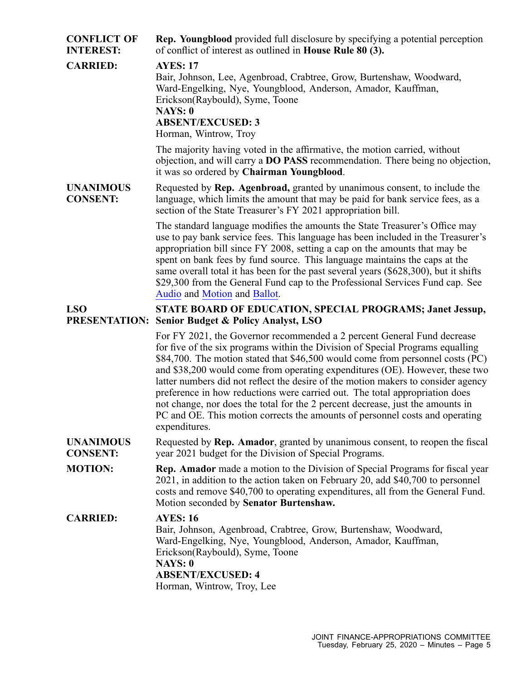| <b>CONFLICT OF</b><br><b>INTEREST:</b> | <b>Rep. Youngblood</b> provided full disclosure by specifying a potential perception<br>of conflict of interest as outlined in <b>House Rule 80 (3).</b>                                                                                                                                                                                                                                                                                                                                                                                                                                                                                                                           |
|----------------------------------------|------------------------------------------------------------------------------------------------------------------------------------------------------------------------------------------------------------------------------------------------------------------------------------------------------------------------------------------------------------------------------------------------------------------------------------------------------------------------------------------------------------------------------------------------------------------------------------------------------------------------------------------------------------------------------------|
| <b>CARRIED:</b>                        | <b>AYES: 17</b><br>Bair, Johnson, Lee, Agenbroad, Crabtree, Grow, Burtenshaw, Woodward,<br>Ward-Engelking, Nye, Youngblood, Anderson, Amador, Kauffman,<br>Erickson(Raybould), Syme, Toone<br>NAYS: 0<br><b>ABSENT/EXCUSED: 3</b><br>Horman, Wintrow, Troy                                                                                                                                                                                                                                                                                                                                                                                                                         |
|                                        | The majority having voted in the affirmative, the motion carried, without<br>objection, and will carry a <b>DO PASS</b> recommendation. There being no objection,<br>it was so ordered by Chairman Youngblood.                                                                                                                                                                                                                                                                                                                                                                                                                                                                     |
| <b>UNANIMOUS</b><br><b>CONSENT:</b>    | Requested by Rep. Agenbroad, granted by unanimous consent, to include the<br>language, which limits the amount that may be paid for bank service fees, as a<br>section of the State Treasurer's FY 2021 appropriation bill.                                                                                                                                                                                                                                                                                                                                                                                                                                                        |
|                                        | The standard language modifies the amounts the State Treasurer's Office may<br>use to pay bank service fees. This language has been included in the Treasurer's<br>appropriation bill since FY 2008, setting a cap on the amounts that may be<br>spent on bank fees by fund source. This language maintains the caps at the<br>same overall total it has been for the past several years (\$628,300), but it shifts<br>\$29,300 from the General Fund cap to the Professional Services Fund cap. See<br>Audio and Motion and Ballot.                                                                                                                                               |
| <b>LSO</b><br><b>PRESENTATION:</b>     | STATE BOARD OF EDUCATION, SPECIAL PROGRAMS; Janet Jessup,<br><b>Senior Budget &amp; Policy Analyst, LSO</b>                                                                                                                                                                                                                                                                                                                                                                                                                                                                                                                                                                        |
|                                        | For FY 2021, the Governor recommended a 2 percent General Fund decrease<br>for five of the six programs within the Division of Special Programs equalling<br>\$84,700. The motion stated that \$46,500 would come from personnel costs (PC)<br>and \$38,200 would come from operating expenditures (OE). However, these two<br>latter numbers did not reflect the desire of the motion makers to consider agency<br>preference in how reductions were carried out. The total appropriation does<br>not change, nor does the total for the 2 percent decrease, just the amounts in<br>PC and OE. This motion corrects the amounts of personnel costs and operating<br>expenditures. |
| <b>UNANIMOUS</b><br><b>CONSENT:</b>    | Requested by Rep. Amador, granted by unanimous consent, to reopen the fiscal<br>year 2021 budget for the Division of Special Programs.                                                                                                                                                                                                                                                                                                                                                                                                                                                                                                                                             |
| <b>MOTION:</b>                         | Rep. Amador made a motion to the Division of Special Programs for fiscal year<br>2021, in addition to the action taken on February 20, add \$40,700 to personnel<br>costs and remove \$40,700 to operating expenditures, all from the General Fund.<br>Motion seconded by Senator Burtenshaw.                                                                                                                                                                                                                                                                                                                                                                                      |
| <b>CARRIED:</b>                        | <b>AYES: 16</b><br>Bair, Johnson, Agenbroad, Crabtree, Grow, Burtenshaw, Woodward,<br>Ward-Engelking, Nye, Youngblood, Anderson, Amador, Kauffman,<br>Erickson(Raybould), Syme, Toone<br><b>NAYS: 0</b><br><b>ABSENT/EXCUSED: 4</b><br>Horman, Wintrow, Troy, Lee                                                                                                                                                                                                                                                                                                                                                                                                                  |